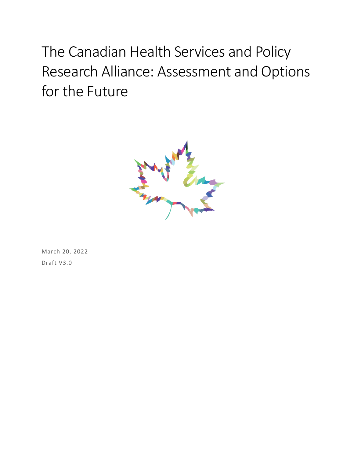# The Canadian Health Services and Policy Research Alliance: Assessment and Options for the Future



March 20, 2022 Draft V3.0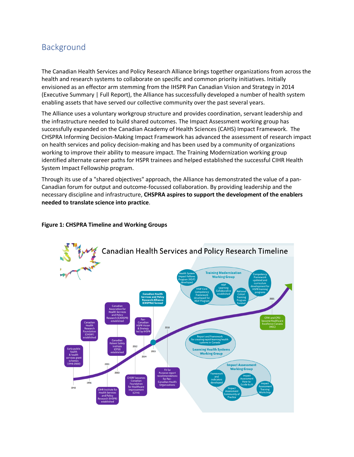### Background

The Canadian Health Services and Policy Research Alliance brings together organizations from across the health and research systems to collaborate on specific and common priority initiatives. Initially envisioned as an effector arm stemming from the IHSPR Pan Canadian Vision and Strategy in 2014 (Executive Summary | Full Report), the Alliance has successfully developed a number of health system enabling assets that have served our collective community over the past several years.

The Alliance uses a voluntary workgroup structure and provides coordination, servant leadership and the infrastructure needed to build shared outcomes. The Impact Assessment working group has successfully expanded on the Canadian Academy of Health Sciences (CAHS) Impact Framework. The CHSPRA Informing Decision-Making Impact Framework has advanced the assessment of research impact on health services and policy decision-making and has been used by a community of organizations working to improve their ability to measure impact. The Training Modernization working group identified alternate career paths for HSPR trainees and helped established the successful CIHR Health System Impact Fellowship program.

Through its use of a "shared objectives" approach, the Alliance has demonstrated the value of a pan-Canadian forum for output and outcome-focussed collaboration. By providing leadership and the necessary discipline and infrastructure, **CHSPRA aspires to support the development of the enablers needed to translate science into practice**.

#### **Figure 1: CHSPRA Timeline and Working Groups**

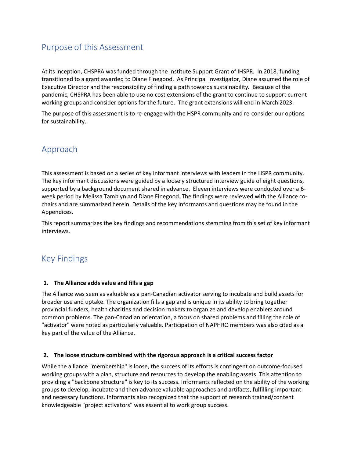### Purpose of this Assessment

At its inception, CHSPRA was funded through the Institute Support Grant of IHSPR. In 2018, funding transitioned to a grant awarded to Diane Finegood. As Principal Investigator, Diane assumed the role of Executive Director and the responsibility of finding a path towards sustainability. Because of the pandemic, CHSPRA has been able to use no cost extensions of the grant to continue to support current working groups and consider options for the future. The grant extensions will end in March 2023.

The purpose of this assessment is to re-engage with the HSPR community and re-consider our options for sustainability.

### Approach

This assessment is based on a series of key informant interviews with leaders in the HSPR community. The key informant discussions were guided by a loosely structured interview guide of eight questions, supported by a background document shared in advance. Eleven interviews were conducted over a 6 week period by Melissa Tamblyn and Diane Finegood. The findings were reviewed with the Alliance cochairs and are summarized herein. Details of the key informants and questions may be found in the Appendices.

This report summarizes the key findings and recommendations stemming from this set of key informant interviews.

### Key Findings

#### **1. The Alliance adds value and fills a gap**

The Alliance was seen as valuable as a pan-Canadian activator serving to incubate and build assets for broader use and uptake. The organization fills a gap and is unique in its ability to bring together provincial funders, health charities and decision makers to organize and develop enablers around common problems. The pan-Canadian orientation, a focus on shared problems and filling the role of "activator" were noted as particularly valuable. Participation of NAPHRO members was also cited as a key part of the value of the Alliance.

#### **2. The loose structure combined with the rigorous approach is a critical success factor**

While the alliance "membership" is loose, the success of its efforts is contingent on outcome-focused working groups with a plan, structure and resources to develop the enabling assets. This attention to providing a "backbone structure" is key to its success. Informants reflected on the ability of the working groups to develop, incubate and then advance valuable approaches and artifacts, fulfilling important and necessary functions. Informants also recognized that the support of research trained/content knowledgeable "project activators" was essential to work group success.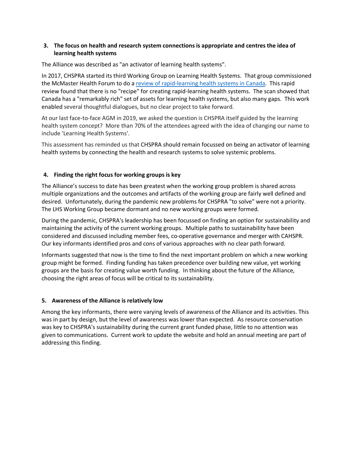#### **3. The focus on health and research system connections is appropriate and centres the idea of learning health systems**

The Alliance was described as "an activator of learning health systems".

In 2017, CHSPRA started its third Working Group on Learning Health Systems. That group commissioned the McMaster Health Forum to do a review of rapid-learning health systems in Canada. This rapid review found that there is no "recipe" for creating rapid-learning health systems. The scan showed that Canada has a "remarkably rich" set of assets for learning health systems, but also many gaps. This work enabled several thoughtful dialogues, but no clear project to take forward.

At our last face-to-face AGM in 2019, we asked the question is CHSPRA itself guided by the learning health system concept? More than 70% of the attendees agreed with the idea of changing our name to include 'Learning Health Systems'.

This assessment has reminded us that CHSPRA should remain focussed on being an activator of learning health systems by connecting the health and research systems to solve systemic problems.

#### **4. Finding the right focus for working groups is key**

The Alliance's success to date has been greatest when the working group problem is shared across multiple organizations and the outcomes and artifacts of the working group are fairly well defined and desired. Unfortunately, during the pandemic new problems for CHSPRA "to solve" were not a priority. The LHS Working Group became dormant and no new working groups were formed.

During the pandemic, CHSPRA's leadership has been focussed on finding an option for sustainability and maintaining the activity of the current working groups. Multiple paths to sustainability have been considered and discussed including member fees, co-operative governance and merger with CAHSPR. Our key informants identified pros and cons of various approaches with no clear path forward.

Informants suggested that now is the time to find the next important problem on which a new working group might be formed. Finding funding has taken precedence over building new value, yet working groups are the basis for creating value worth funding. In thinking about the future of the Alliance, choosing the right areas of focus will be critical to its sustainability.

#### **5. Awareness of the Alliance is relatively low**

Among the key informants, there were varying levels of awareness of the Alliance and its activities. This was in part by design, but the level of awareness was lower than expected. As resource conservation was key to CHSPRA's sustainability during the current grant funded phase, little to no attention was given to communications. Current work to update the website and hold an annual meeting are part of addressing this finding.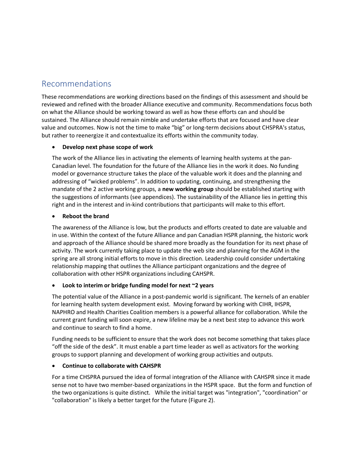### Recommendations

These recommendations are working directions based on the findings of this assessment and should be reviewed and refined with the broader Alliance executive and community. Recommendations focus both on what the Alliance should be working toward as well as how these efforts can and should be sustained. The Alliance should remain nimble and undertake efforts that are focused and have clear value and outcomes. Now is not the time to make "big" or long-term decisions about CHSPRA's status, but rather to reenergize it and contextualize its efforts within the community today.

#### • **Develop next phase scope of work**

The work of the Alliance lies in activating the elements of learning health systems at the pan-Canadian level. The foundation for the future of the Alliance lies in the work it does. No funding model or governance structure takes the place of the valuable work it does and the planning and addressing of "wicked problems". In addition to updating, continuing, and strengthening the mandate of the 2 active working groups, a **new working group** should be established starting with the suggestions of informants (see appendices). The sustainability of the Alliance lies in getting this right and in the interest and in-kind contributions that participants will make to this effort.

#### • **Reboot the brand**

The awareness of the Alliance is low, but the products and efforts created to date are valuable and in use. Within the context of the future Alliance and pan Canadian HSPR planning, the historic work and approach of the Alliance should be shared more broadly as the foundation for its next phase of activity. The work currently taking place to update the web site and planning for the AGM in the spring are all strong initial efforts to move in this direction. Leadership could consider undertaking relationship mapping that outlines the Alliance participant organizations and the degree of collaboration with other HSPR organizations including CAHSPR.

#### • **Look to interim or bridge funding model for next ~2 years**

The potential value of the Alliance in a post-pandemic world is significant. The kernels of an enabler for learning health system development exist. Moving forward by working with CIHR, IHSPR, NAPHRO and Health Charities Coalition members is a powerful alliance for collaboration. While the current grant funding will soon expire, a new lifeline may be a next best step to advance this work and continue to search to find a home.

Funding needs to be sufficient to ensure that the work does not become something that takes place "off the side of the desk". It must enable a part time leader as well as activators for the working groups to support planning and development of working group activities and outputs.

#### • **Continue to collaborate with CAHSPR**

For a time CHSPRA pursued the idea of formal integration of the Alliance with CAHSPR since it made sense not to have two member-based organizations in the HSPR space. But the form and function of the two organizations is quite distinct. While the initial target was "integration", "coordination" or "collaboration" is likely a better target for the future (Figure 2).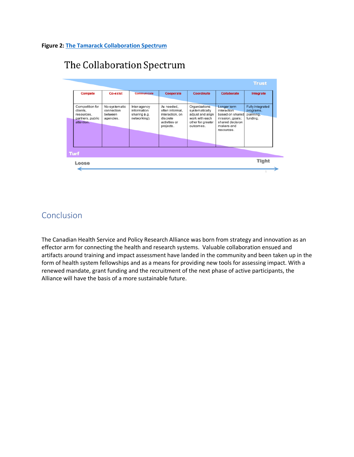#### **Figure 2: The Tamarack Collaboration Spectrum**

# The Collaboration Spectrum



### Conclusion

The Canadian Health Service and Policy Research Alliance was born from strategy and innovation as an effector arm for connecting the health and research systems. Valuable collaboration ensued and artifacts around training and impact assessment have landed in the community and been taken up in the form of health system fellowships and as a means for providing new tools for assessing impact. With a renewed mandate, grant funding and the recruitment of the next phase of active participants, the Alliance will have the basis of a more sustainable future.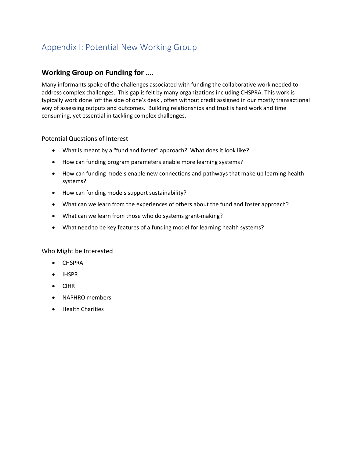## Appendix I: Potential New Working Group

### **Working Group on Funding for ….**

Many informants spoke of the challenges associated with funding the collaborative work needed to address complex challenges. This gap is felt by many organizations including CHSPRA. This work is typically work done 'off the side of one's desk', often without credit assigned in our mostly transactional way of assessing outputs and outcomes. Building relationships and trust is hard work and time consuming, yet essential in tackling complex challenges.

#### Potential Questions of Interest

- What is meant by a "fund and foster" approach? What does it look like?
- How can funding program parameters enable more learning systems?
- How can funding models enable new connections and pathways that make up learning health systems?
- How can funding models support sustainability?
- What can we learn from the experiences of others about the fund and foster approach?
- What can we learn from those who do systems grant-making?
- What need to be key features of a funding model for learning health systems?

#### Who Might be Interested

- CHSPRA
- IHSPR
- CIHR
- NAPHRO members
- Health Charities